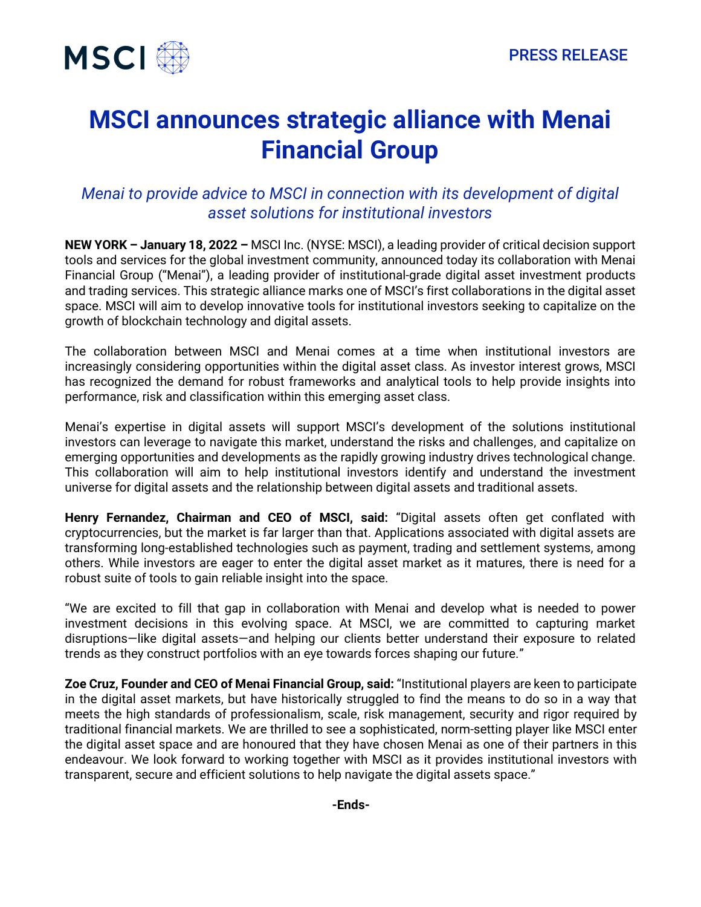

## **MSCI announces strategic alliance with Menai Financial Group**

## *Menai to provide advice to MSCI in connection with its development of digital asset solutions for institutional investors*

**NEW YORK – January 18, 2022 –** MSCI Inc. (NYSE: MSCI), a leading provider of critical decision support tools and services for the global investment community, announced today its collaboration with Menai Financial Group ("Menai"), a leading provider of institutional-grade digital asset investment products and trading services. This strategic alliance marks one of MSCI's first collaborations in the digital asset space. MSCI will aim to develop innovative tools for institutional investors seeking to capitalize on the growth of blockchain technology and digital assets.

The collaboration between MSCI and Menai comes at a time when institutional investors are increasingly considering opportunities within the digital asset class. As investor interest grows, MSCI has recognized the demand for robust frameworks and analytical tools to help provide insights into performance, risk and classification within this emerging asset class.

Menai's expertise in digital assets will support MSCI's development of the solutions institutional investors can leverage to navigate this market, understand the risks and challenges, and capitalize on emerging opportunities and developments as the rapidly growing industry drives technological change. This collaboration will aim to help institutional investors identify and understand the investment universe for digital assets and the relationship between digital assets and traditional assets.

**Henry Fernandez, Chairman and CEO of MSCI, said:** "Digital assets often get conflated with cryptocurrencies, but the market is far larger than that. Applications associated with digital assets are transforming long-established technologies such as payment, trading and settlement systems, among others. While investors are eager to enter the digital asset market as it matures, there is need for a robust suite of tools to gain reliable insight into the space.

"We are excited to fill that gap in collaboration with Menai and develop what is needed to power investment decisions in this evolving space. At MSCI, we are committed to capturing market disruptions—like digital assets—and helping our clients better understand their exposure to related trends as they construct portfolios with an eye towards forces shaping our future."

**Zoe Cruz, Founder and CEO of Menai Financial Group, said:** "Institutional players are keen to participate in the digital asset markets, but have historically struggled to find the means to do so in a way that meets the high standards of professionalism, scale, risk management, security and rigor required by traditional financial markets. We are thrilled to see a sophisticated, norm-setting player like MSCI enter the digital asset space and are honoured that they have chosen Menai as one of their partners in this endeavour. We look forward to working together with MSCI as it provides institutional investors with transparent, secure and efficient solutions to help navigate the digital assets space."